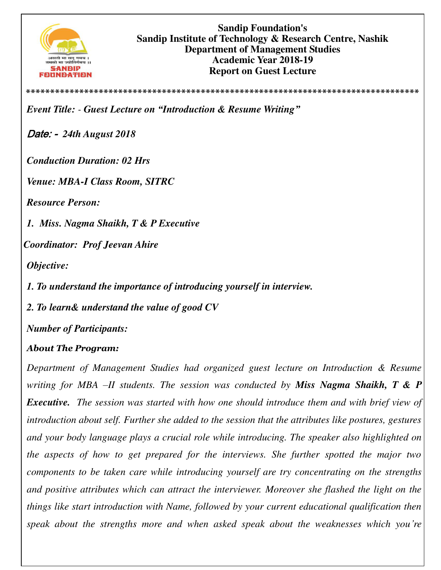

**\*\*\*\*\*\*\*\*\*\*\*\*\*\*\*\*\*\*\*\*\*\*\*\*\*\*\*\*\*\*\*\*\*\*\*\*\*\*\*\*\*\*\*\*\*\*\*\*\*\*\*\*\*\*\*\*\*\*\*\*\*\*\*\*\*\*\*\*\*\*\*\*\*\*\*\*\*\*\*\*\***

*Event Title: - Guest Lecture on "Introduction & Resume Writing"*

Date: - *24th August 2018*

*Conduction Duration: 02 Hrs* 

*Venue: MBA-I Class Room, SITRC* 

*Resource Person:* 

*1. Miss. Nagma Shaikh, T & P Executive* 

*Coordinator: Prof Jeevan Ahire* 

*Objective:* 

*1. To understand the importance of introducing yourself in interview.* 

*2. To learn& understand the value of good CV* 

*Number of Participants:* 

## *About The Program:*

*Department of Management Studies had organized guest lecture on Introduction & Resume writing for MBA –II students. The session was conducted by Miss Nagma Shaikh, T & P Executive. The session was started with how one should introduce them and with brief view of introduction about self. Further she added to the session that the attributes like postures, gestures and your body language plays a crucial role while introducing. The speaker also highlighted on the aspects of how to get prepared for the interviews. She further spotted the major two components to be taken care while introducing yourself are try concentrating on the strengths and positive attributes which can attract the interviewer. Moreover she flashed the light on the things like start introduction with Name, followed by your current educational qualification then speak about the strengths more and when asked speak about the weaknesses which you're*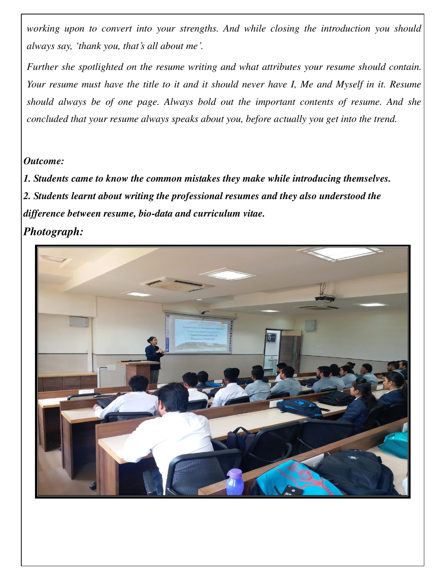*working upon to convert into your strengths. And while closing the introduction you should always say, 'thank you, that's all about me'.* 

*Further she spotlighted on the resume writing and what attributes your resume should contain. Your resume must have the title to it and it should never have I, Me and Myself in it. Resume should always be of one page. Always bold out the important contents of resume. And she concluded that your resume always speaks about you, before actually you get into the trend.* 

## *Outcome:*

*1. Students came to know the common mistakes they make while introducing themselves. 2. Students learnt about writing the professional resumes and they also understood the difference between resume, bio-data and curriculum vitae.* 

## *Photograph:*